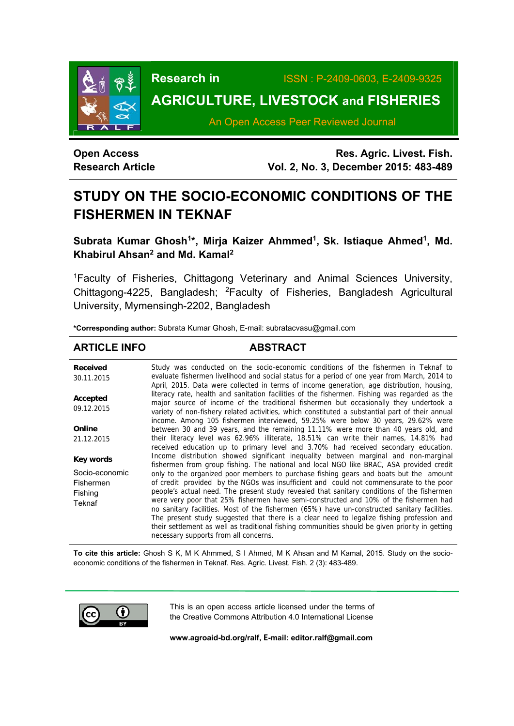

**Research in** ISSN : P-2409-0603, E-2409-9325

# **AGRICULTURE, LIVESTOCK and FISHERIES**

An Open Access Peer Reviewed Journal

**Open Access Research Article** 

**Res. Agric. Livest. Fish. Vol. 2, No. 3, December 2015: 483-489**

# **STUDY ON THE SOCIO-ECONOMIC CONDITIONS OF THE FISHERMEN IN TEKNAF**

Subrata Kumar Ghosh<sup>1\*</sup>, Mirja Kaizer Ahmmed<sup>1</sup>, Sk. Istiaque Ahmed<sup>1</sup>, Md. **Khabirul Ahsan2 and Md. Kamal2** 

1Faculty of Fisheries, Chittagong Veterinary and Animal Sciences University, Chittagong-4225, Bangladesh; 2Faculty of Fisheries, Bangladesh Agricultural University, Mymensingh-2202, Bangladesh

**\*Corresponding author:** Subrata Kumar Ghosh, E-mail: subratacvasu@gmail.com

## **ARTICLE INFO ABSTRACT**

**Received**  30.11.2015 **Accepted**  09.12.2015 **Online**  21.12.2015 **Key words** Socio-economic Fishermen Fishing Teknaf Study was conducted on the socio-economic conditions of the fishermen in Teknaf to evaluate fishermen livelihood and social status for a period of one year from March, 2014 to April, 2015. Data were collected in terms of income generation, age distribution, housing, literacy rate, health and sanitation facilities of the fishermen. Fishing was regarded as the major source of income of the traditional fishermen but occasionally they undertook a variety of non-fishery related activities, which constituted a substantial part of their annual income. Among 105 fishermen interviewed, 59.25% were below 30 years, 29.62% were between 30 and 39 years, and the remaining 11.11% were more than 40 years old, and their literacy level was 62.96% illiterate, 18.51% can write their names, 14.81% had received education up to primary level and 3.70% had received secondary education. Income distribution showed significant inequality between marginal and non-marginal fishermen from group fishing. The national and local NGO like BRAC, ASA provided credit only to the organized poor members to purchase fishing gears and boats but the amount of credit provided by the NGOs was insufficient and could not commensurate to the poor people's actual need. The present study revealed that sanitary conditions of the fishermen were very poor that 25% fishermen have semi-constructed and 10% of the fishermen had no sanitary facilities. Most of the fishermen (65%) have un-constructed sanitary facilities. The present study suggested that there is a clear need to legalize fishing profession and their settlement as well as traditional fishing communities should be given priority in getting necessary supports from all concerns.

**To cite this article:** Ghosh S K, M K Ahmmed, S I Ahmed, M K Ahsan and M Kamal, 2015. Study on the socioeconomic conditions of the fishermen in Teknaf. Res. Agric. Livest. Fish. 2 (3): 483-489.



This is an open access article licensed under the terms of the Creative Commons Attribution 4.0 International License

**www.agroaid-bd.org/ralf, E-mail: editor.ralf@gmail.com**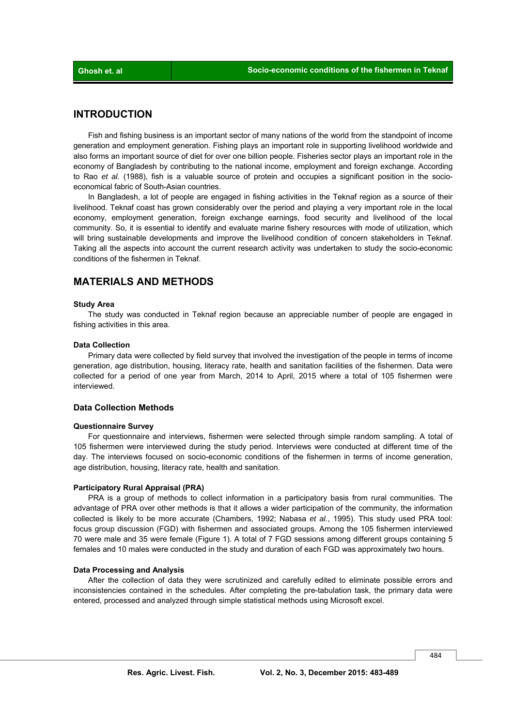### **INTRODUCTION**

 Fish and fishing business is an important sector of many nations of the world from the standpoint of income generation and employment generation. Fishing plays an important role in supporting livelihood worldwide and also forms an important source of diet for over one billion people. Fisheries sector plays an important role in the economy of Bangladesh by contributing to the national income, employment and foreign exchange. According to Rao *et al.* (1988), fish is a valuable source of protein and occupies a significant position in the socioeconomical fabric of South-Asian countries.

 In Bangladesh, a lot of people are engaged in fishing activities in the Teknaf region as a source of their livelihood. Teknaf coast has grown considerably over the period and playing a very important role in the local economy, employment generation, foreign exchange earnings, food security and livelihood of the local community. So, it is essential to identify and evaluate marine fishery resources with mode of utilization, which will bring sustainable developments and improve the livelihood condition of concern stakeholders in Teknaf. Taking all the aspects into account the current research activity was undertaken to study the socio-economic conditions of the fishermen in Teknaf.

### **MATERIALS AND METHODS**

#### **Study Area**

 The study was conducted in Teknaf region because an appreciable number of people are engaged in fishing activities in this area.

### **Data Collection**

 Primary data were collected by field survey that involved the investigation of the people in terms of income generation, age distribution, housing, literacy rate, health and sanitation facilities of the fishermen. Data were collected for a period of one year from March, 2014 to April, 2015 where a total of 105 fishermen were interviewed.

### **Data Collection Methods**

### **Questionnaire Survey**

 For questionnaire and interviews, fishermen were selected through simple random sampling. A total of 105 fishermen were interviewed during the study period. Interviews were conducted at different time of the day. The interviews focused on socio-economic conditions of the fishermen in terms of income generation, age distribution, housing, literacy rate, health and sanitation.

#### **Participatory Rural Appraisal (PRA)**

 PRA is a group of methods to collect information in a participatory basis from rural communities. The advantage of PRA over other methods is that it allows a wider participation of the community, the information collected is likely to be more accurate (Chambers, 1992; Nabasa *et al.*, 1995). This study used PRA tool: focus group discussion (FGD) with fishermen and associated groups. Among the 105 fishermen interviewed 70 were male and 35 were female (Figure 1). A total of 7 FGD sessions among different groups containing 5 females and 10 males were conducted in the study and duration of each FGD was approximately two hours.

### **Data Processing and Analysis**

 After the collection of data they were scrutinized and carefully edited to eliminate possible errors and inconsistencies contained in the schedules. After completing the pre-tabulation task, the primary data were entered, processed and analyzed through simple statistical methods using Microsoft excel.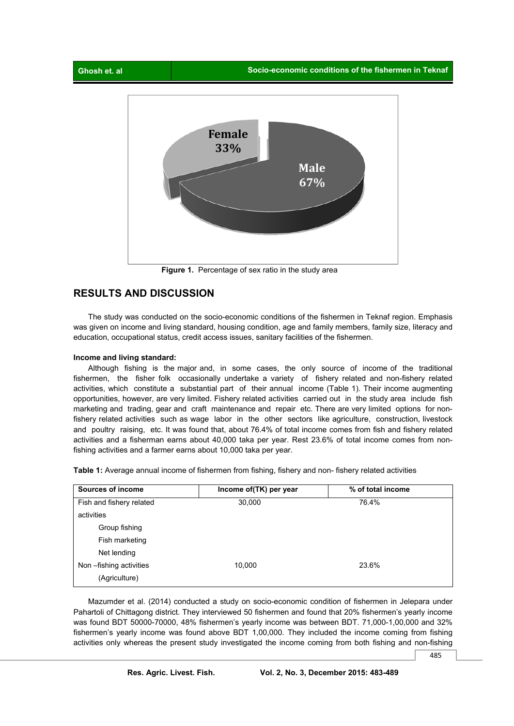

**Figure 1.** Percentage of sex ratio in the study area

### **RESULTS AND DISCUSSION**

 The study was conducted on the socio-economic conditions of the fishermen in Teknaf region. Emphasis was given on income and living standard, housing condition, age and family members, family size, literacy and education, occupational status, credit access issues, sanitary facilities of the fishermen.

### **Income and living standard:**

 Although fishing is the major and, in some cases, the only source of income of the traditional fishermen, the fisher folk occasionally undertake a variety of fishery related and non-fishery related activities, which constitute a substantial part of their annual income (Table 1). Their income augmenting opportunities, however, are very limited. Fishery related activities carried out in the study area include fish marketing and trading, gear and craft maintenance and repair etc. There are very limited options for nonfishery related activities such as wage labor in the other sectors like agriculture, construction, livestock and poultry raising, etc. It was found that, about 76.4% of total income comes from fish and fishery related activities and a fisherman earns about 40,000 taka per year. Rest 23.6% of total income comes from nonfishing activities and a farmer earns about 10,000 taka per year.

**Table 1:** Average annual income of fishermen from fishing, fishery and non- fishery related activities

| Sources of income        | Income of (TK) per year | % of total income |
|--------------------------|-------------------------|-------------------|
| Fish and fishery related | 30,000                  | 76.4%             |
| activities               |                         |                   |
| Group fishing            |                         |                   |
| Fish marketing           |                         |                   |
| Net lending              |                         |                   |
| Non-fishing activities   | 10,000                  | 23.6%             |
| (Agriculture)            |                         |                   |

 Mazumder et al. (2014) conducted a study on socio-economic condition of fishermen in Jelepara under Pahartoli of Chittagong district. They interviewed 50 fishermen and found that 20% fishermen's yearly income was found BDT 50000-70000, 48% fishermen's yearly income was between BDT. 71,000-1,00,000 and 32% fishermen's yearly income was found above BDT 1,00,000. They included the income coming from fishing activities only whereas the present study investigated the income coming from both fishing and non-fishing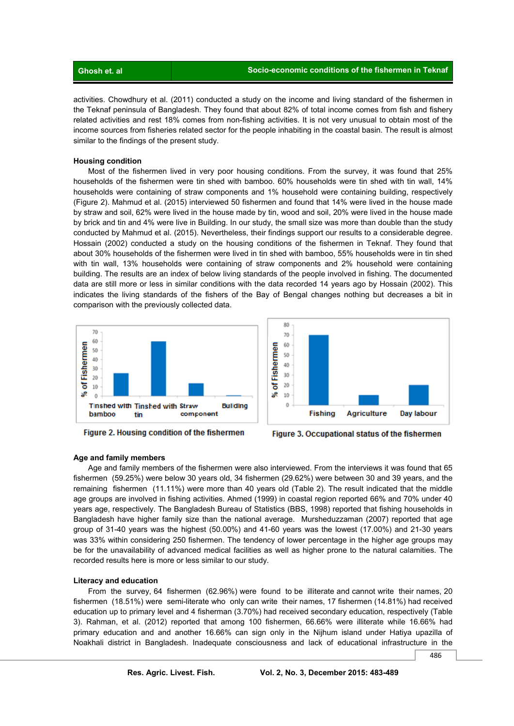| ' Ghosh et. al. |  |
|-----------------|--|
|                 |  |

activities. Chowdhury et al. (2011) conducted a study on the income and living standard of the fishermen in the Teknaf peninsula of Bangladesh. They found that about 82% of total income comes from fish and fishery related activities and rest 18% comes from non-fishing activities. It is not very unusual to obtain most of the income sources from fisheries related sector for the people inhabiting in the coastal basin. The result is almost similar to the findings of the present study.

#### **Housing condition**

 Most of the fishermen lived in very poor housing conditions. From the survey, it was found that 25% households of the fishermen were tin shed with bamboo. 60% households were tin shed with tin wall, 14% households were containing of straw components and 1% household were containing building, respectively (Figure 2). Mahmud et al. (2015) interviewed 50 fishermen and found that 14% were lived in the house made by straw and soil, 62% were lived in the house made by tin, wood and soil, 20% were lived in the house made by brick and tin and 4% were live in Building. In our study, the small size was more than double than the study conducted by Mahmud et al. (2015). Nevertheless, their findings support our results to a considerable degree. Hossain (2002) conducted a study on the housing conditions of the fishermen in Teknaf. They found that about 30% households of the fishermen were lived in tin shed with bamboo, 55% households were in tin shed with tin wall, 13% households were containing of straw components and 2% household were containing building. The results are an index of below living standards of the people involved in fishing. The documented data are still more or less in similar conditions with the data recorded 14 years ago by Hossain (2002). This indicates the living standards of the fishers of the Bay of Bengal changes nothing but decreases a bit in comparison with the previously collected data.





Figure 2. Housing condition of the fishermen



### **Age and family members**

 Age and family members of the fishermen were also interviewed. From the interviews it was found that 65 fishermen (59.25%) were below 30 years old, 34 fishermen (29.62%) were between 30 and 39 years, and the remaining fishermen (11.11%) were more than 40 years old (Table 2). The result indicated that the middle age groups are involved in fishing activities. Ahmed (1999) in coastal region reported 66% and 70% under 40 years age, respectively. The Bangladesh Bureau of Statistics (BBS, 1998) reported that fishing households in Bangladesh have higher family size than the national average. Mursheduzzaman (2007) reported that age group of 31-40 years was the highest (50.00%) and 41-60 years was the lowest (17.00%) and 21-30 years was 33% within considering 250 fishermen. The tendency of lower percentage in the higher age groups may be for the unavailability of advanced medical facilities as well as higher prone to the natural calamities. The recorded results here is more or less similar to our study.

### **Literacy and education**

 From the survey, 64 fishermen (62.96%) were found to be illiterate and cannot write their names, 20 fishermen (18.51%) were semi-literate who only can write their names, 17 fishermen (14.81%) had received education up to primary level and 4 fisherman (3.70%) had received secondary education, respectively (Table 3). Rahman, et al. (2012) reported that among 100 fishermen, 66.66% were illiterate while 16.66% had primary education and and another 16.66% can sign only in the Nijhum island under Hatiya upazilla of Noakhali district in Bangladesh. Inadequate consciousness and lack of educational infrastructure in the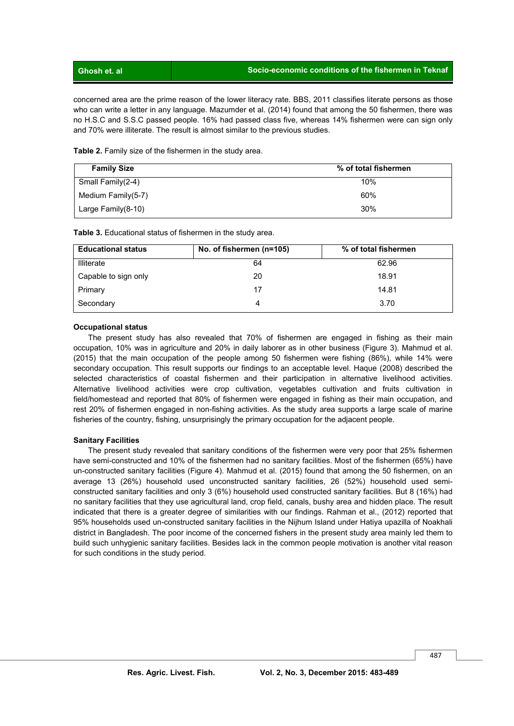concerned area are the prime reason of the lower literacy rate. BBS, 2011 classifies literate persons as those who can write a letter in any language. Mazumder et al. (2014) found that among the 50 fishermen, there was no H.S.C and S.S.C passed people. 16% had passed class five, whereas 14% fishermen were can sign only and 70% were illiterate. The result is almost similar to the previous studies.

**Table 2.** Family size of the fishermen in the study area.

| <b>Family Size</b>    | % of total fishermen |
|-----------------------|----------------------|
| Small Family(2-4)     | 10%                  |
| Medium Family $(5-7)$ | 60%                  |
| Large Family $(8-10)$ | 30%                  |

**Table 3.** Educational status of fishermen in the study area.

| <b>Educational status</b> | No. of fishermen (n=105) | % of total fishermen |
|---------------------------|--------------------------|----------------------|
| Illiterate                | 64                       | 62.96                |
| Capable to sign only      | 20                       | 18.91                |
| Primary                   | 17                       | 14.81                |
| Secondary                 | 4                        | 3.70                 |

### **Occupational status**

 The present study has also revealed that 70% of fishermen are engaged in fishing as their main occupation, 10% was in agriculture and 20% in daily laborer as in other business (Figure 3). Mahmud et al. (2015) that the main occupation of the people among 50 fishermen were fishing (86%), while 14% were secondary occupation. This result supports our findings to an acceptable level. Haque (2008) described the selected characteristics of coastal fishermen and their participation in alternative livelihood activities. Alternative livelihood activities were crop cultivation, vegetables cultivation and fruits cultivation in field/homestead and reported that 80% of fishermen were engaged in fishing as their main occupation, and rest 20% of fishermen engaged in non-fishing activities. As the study area supports a large scale of marine fisheries of the country, fishing, unsurprisingly the primary occupation for the adjacent people.

### **Sanitary Facilities**

 The present study revealed that sanitary conditions of the fishermen were very poor that 25% fishermen have semi-constructed and 10% of the fishermen had no sanitary facilities. Most of the fishermen (65%) have un-constructed sanitary facilities (Figure 4). Mahmud et al. (2015) found that among the 50 fishermen, on an average 13 (26%) household used unconstructed sanitary facilities, 26 (52%) household used semiconstructed sanitary facilities and only 3 (6%) household used constructed sanitary facilities. But 8 (16%) had no sanitary facilities that they use agricultural land, crop field, canals, bushy area and hidden place. The result indicated that there is a greater degree of similarities with our findings. Rahman et al., (2012) reported that 95% households used un-constructed sanitary facilities in the Nijhum Island under Hatiya upazilla of Noakhali district in Bangladesh. The poor income of the concerned fishers in the present study area mainly led them to build such unhygienic sanitary facilities. Besides lack in the common people motivation is another vital reason for such conditions in the study period.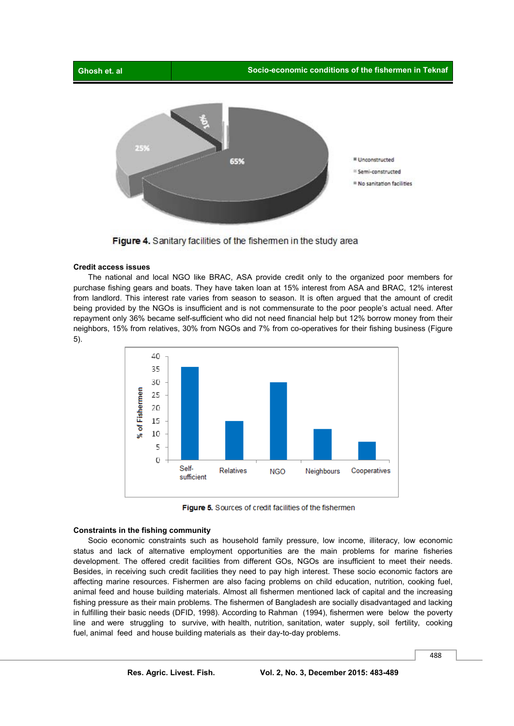



Figure 4. Sanitary facilities of the fishemen in the study area

### **Credit access issues**

 The national and local NGO like BRAC, ASA provide credit only to the organized poor members for purchase fishing gears and boats. They have taken loan at 15% interest from ASA and BRAC, 12% interest from landlord. This interest rate varies from season to season. It is often argued that the amount of credit being provided by the NGOs is insufficient and is not commensurate to the poor people's actual need. After repayment only 36% became self-sufficient who did not need financial help but 12% borrow money from their neighbors, 15% from relatives, 30% from NGOs and 7% from co-operatives for their fishing business (Figure 5).



Figure 5. Sources of credit facilities of the fishermen

### **Constraints in the fishing community**

 Socio economic constraints such as household family pressure, low income, illiteracy, low economic status and lack of alternative employment opportunities are the main problems for marine fisheries development. The offered credit facilities from different GOs, NGOs are insufficient to meet their needs. Besides, in receiving such credit facilities they need to pay high interest. These socio economic factors are affecting marine resources. Fishermen are also facing problems on child education, nutrition, cooking fuel, animal feed and house building materials. Almost all fishermen mentioned lack of capital and the increasing fishing pressure as their main problems. The fishermen of Bangladesh are socially disadvantaged and lacking in fulfilling their basic needs (DFID, 1998). According to Rahman (1994), fishermen were below the poverty line and were struggling to survive, with health, nutrition, sanitation, water supply, soil fertility, cooking fuel, animal feed and house building materials as their day-to-day problems.